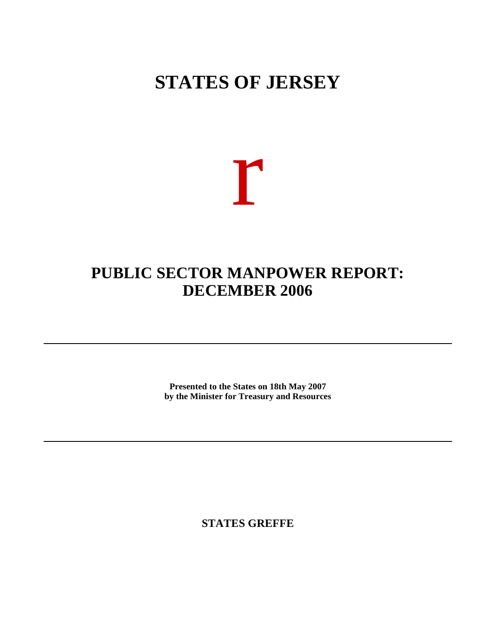## **STATES OF JERSEY**

# r

### **PUBLIC SECTOR MANPOWER REPORT: DECEMBER 2006**

**Presented to the States on 18th May 2007 by the Minister for Treasury and Resources**

**STATES GREFFE**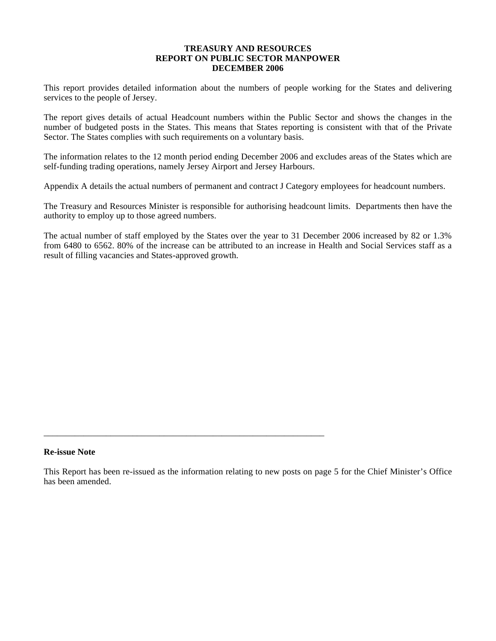#### **TREASURY AND RESOURCES REPORT ON PUBLIC SECTOR MANPOWER DECEMBER 2006**

This report provides detailed information about the numbers of people working for the States and delivering services to the people of Jersey.

The report gives details of actual Headcount numbers within the Public Sector and shows the changes in the number of budgeted posts in the States. This means that States reporting is consistent with that of the Private Sector. The States complies with such requirements on a voluntary basis.

The information relates to the 12 month period ending December 2006 and excludes areas of the States which are self-funding trading operations, namely Jersey Airport and Jersey Harbours.

Appendix A details the actual numbers of permanent and contract J Category employees for headcount numbers.

The Treasury and Resources Minister is responsible for authorising headcount limits. Departments then have the authority to employ up to those agreed numbers.

The actual number of staff employed by the States over the year to 31 December 2006 increased by 82 or 1.3% from 6480 to 6562. 80% of the increase can be attributed to an increase in Health and Social Services staff as a result of filling vacancies and States-approved growth.

#### **Re-issue Note**

\_\_\_\_\_\_\_\_\_\_\_\_\_\_\_\_\_\_\_\_\_\_\_\_\_\_\_\_\_\_\_\_\_\_\_\_\_\_\_\_\_\_\_\_\_\_\_\_\_\_\_\_\_\_\_\_\_\_\_\_\_\_\_

This Report has been re-issued as the information relating to new posts on page 5 for the Chief Minister's Office has been amended.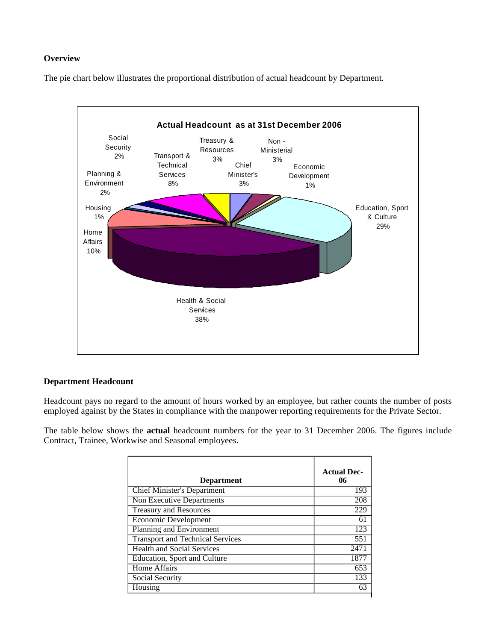#### **Overview**

The pie chart below illustrates the proportional distribution of actual headcount by Department.



#### **Department Headcount**

Headcount pays no regard to the amount of hours worked by an employee, but rather counts the number of posts employed against by the States in compliance with the manpower reporting requirements for the Private Sector.

The table below shows the **actual** headcount numbers for the year to 31 December 2006. The figures include Contract, Trainee, Workwise and Seasonal employees.

| <b>Department</b>                       | <b>Actual Dec-</b><br>06 |
|-----------------------------------------|--------------------------|
| <b>Chief Minister's Department</b>      | 193                      |
| Non Executive Departments               | 208                      |
| <b>Treasury and Resources</b>           | 229                      |
| Economic Development                    | 61                       |
| Planning and Environment                | 123                      |
| <b>Transport and Technical Services</b> | 551                      |
| <b>Health and Social Services</b>       | 2471                     |
| <b>Education, Sport and Culture</b>     | 1877                     |
| Home Affairs                            | 653                      |
| Social Security                         | 133                      |
| Housing                                 | 63                       |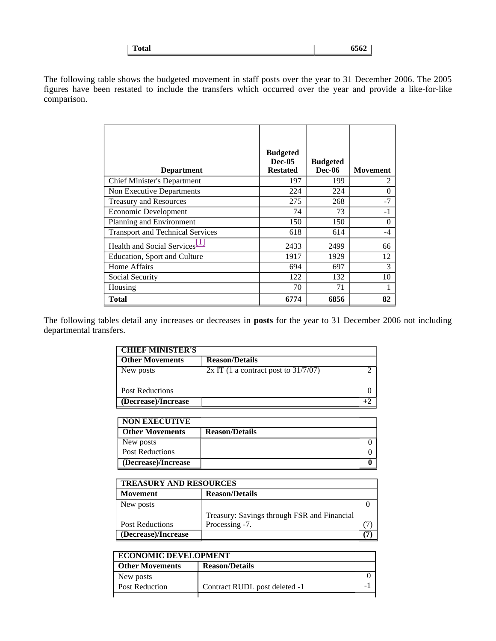| 6562<br><b>Total</b> |
|----------------------|
|----------------------|

The following table shows the budgeted movement in staff posts over the year to 31 December 2006. The 2005 figures have been restated to include the transfers which occurred over the year and provide a like-for-like comparison.

| <b>Department</b>                         | <b>Budgeted</b><br>$Dec-05$<br><b>Restated</b> | <b>Budgeted</b><br><b>Dec-06</b> | <b>Movement</b> |
|-------------------------------------------|------------------------------------------------|----------------------------------|-----------------|
| <b>Chief Minister's Department</b>        | 197                                            | 199                              | 2               |
| Non Executive Departments                 | 224                                            | 224                              | 0               |
| <b>Treasury and Resources</b>             | 275                                            | 268                              | $-7$            |
| Economic Development                      | 74                                             | 73                               | -1              |
| Planning and Environment                  | 150                                            | 150                              | 0               |
| <b>Transport and Technical Services</b>   | 618                                            | 614                              | -4              |
| Health and Social Services <sup>[1]</sup> | 2433                                           | 2499                             | 66              |
| Education, Sport and Culture              | 1917                                           | 1929                             | 12              |
| <b>Home Affairs</b>                       | 694                                            | 697                              | 3               |
| Social Security                           | 122                                            | 132                              | 10              |
| Housing                                   | 70                                             | 71                               |                 |
| Total                                     | 6774                                           | 6856                             | 82              |

The following tables detail any increases or decreases in **posts** for the year to 31 December 2006 not including departmental transfers.

| <b>CHIEF MINISTER'S</b> |                                        |  |
|-------------------------|----------------------------------------|--|
| <b>Other Movements</b>  | <b>Reason/Details</b>                  |  |
| New posts               | $2x$ IT (1 a contract post to 31/7/07) |  |
| <b>Post Reductions</b>  |                                        |  |
| (Decrease)/Increase     |                                        |  |

| <b>NON EXECUTIVE</b>   |                       |  |
|------------------------|-----------------------|--|
| <b>Other Movements</b> | <b>Reason/Details</b> |  |
| New posts              |                       |  |
| Post Reductions        |                       |  |
| (Decrease)/Increase    |                       |  |

| <b>TREASURY AND RESOURCES</b> |                                             |  |
|-------------------------------|---------------------------------------------|--|
| <b>Movement</b>               | <b>Reason/Details</b>                       |  |
| New posts                     |                                             |  |
|                               | Treasury: Savings through FSR and Financial |  |
| <b>Post Reductions</b>        | Processing -7.                              |  |
| (Decrease)/Increase           |                                             |  |

| <b>ECONOMIC DEVELOPMENT</b> |                               |  |
|-----------------------------|-------------------------------|--|
| <b>Other Movements</b>      | <b>Reason/Details</b>         |  |
| New posts                   |                               |  |
| <b>Post Reduction</b>       | Contract RUDL post deleted -1 |  |
|                             |                               |  |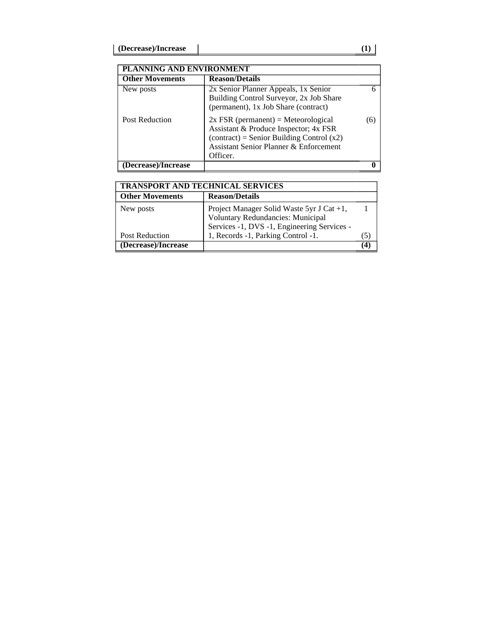| PLANNING AND ENVIRONMENT |                                                                                                                                                                                     |    |
|--------------------------|-------------------------------------------------------------------------------------------------------------------------------------------------------------------------------------|----|
| <b>Other Movements</b>   | <b>Reason/Details</b>                                                                                                                                                               |    |
| New posts                | 2x Senior Planner Appeals, 1x Senior<br>Building Control Surveyor, 2x Job Share<br>(permanent), 1x Job Share (contract)                                                             |    |
| <b>Post Reduction</b>    | $2x$ FSR (permanent) = Meteorological<br>Assistant & Produce Inspector; 4x FSR<br>$(contract) = Senior Building Control (x2)$<br>Assistant Senior Planner & Enforcement<br>Officer. | 6) |
| (Decrease)/Increase      |                                                                                                                                                                                     |    |

| <b>TRANSPORT AND TECHNICAL SERVICES</b> |                                                                                                                               |  |
|-----------------------------------------|-------------------------------------------------------------------------------------------------------------------------------|--|
| <b>Other Movements</b>                  | <b>Reason/Details</b>                                                                                                         |  |
| New posts                               | Project Manager Solid Waste 5yr J Cat +1,<br>Voluntary Redundancies: Municipal<br>Services -1, DVS -1, Engineering Services - |  |
| Post Reduction                          | 1, Records -1, Parking Control -1.                                                                                            |  |
| (Decrease)/Increase                     |                                                                                                                               |  |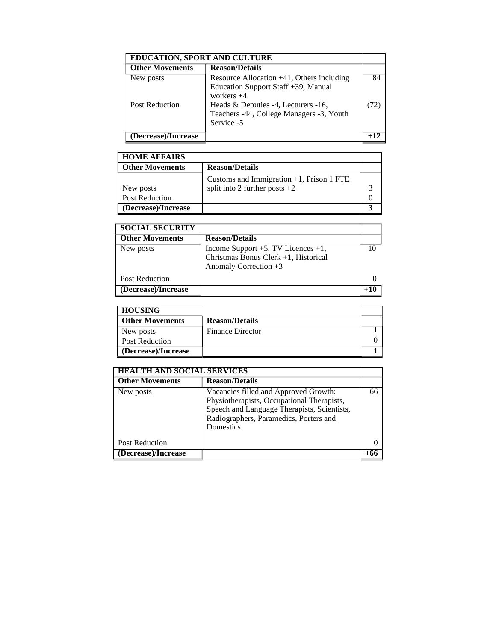| <b>EDUCATION, SPORT AND CULTURE</b> |                                                                                                       |    |
|-------------------------------------|-------------------------------------------------------------------------------------------------------|----|
| <b>Other Movements</b>              | <b>Reason/Details</b>                                                                                 |    |
| New posts                           | Resource Allocation $+41$ , Others including<br>Education Support Staff +39, Manual<br>workers $+4$ . | 84 |
| <b>Post Reduction</b>               | Heads & Deputies -4, Lecturers -16,<br>Teachers -44, College Managers -3, Youth<br>Service -5         | 72 |
| (Decrease)/Increase                 |                                                                                                       |    |

| <b>HOME AFFAIRS</b>    |                                             |  |
|------------------------|---------------------------------------------|--|
| <b>Other Movements</b> | <b>Reason/Details</b>                       |  |
|                        | Customs and Immigration $+1$ , Prison 1 FTE |  |
| New posts              | split into 2 further posts $+2$             |  |
| <b>Post Reduction</b>  |                                             |  |
| (Decrease)/Increase    |                                             |  |

| <b>SOCIAL SECURITY</b> |                                                                                                           |  |
|------------------------|-----------------------------------------------------------------------------------------------------------|--|
| <b>Other Movements</b> | <b>Reason/Details</b>                                                                                     |  |
| New posts              | Income Support $+5$ , TV Licences $+1$ ,<br>Christmas Bonus Clerk +1, Historical<br>Anomaly Correction +3 |  |
| Post Reduction         |                                                                                                           |  |
| (Decrease)/Increase    |                                                                                                           |  |

| <b>HOUSING</b>         |                         |  |
|------------------------|-------------------------|--|
| <b>Other Movements</b> | <b>Reason/Details</b>   |  |
| New posts              | <b>Finance Director</b> |  |
| <b>Post Reduction</b>  |                         |  |
| (Decrease)/Increase    |                         |  |

| <b>HEALTH AND SOCIAL SERVICES</b> |                                                                                                                                                                                            |    |
|-----------------------------------|--------------------------------------------------------------------------------------------------------------------------------------------------------------------------------------------|----|
| <b>Other Movements</b>            | <b>Reason/Details</b>                                                                                                                                                                      |    |
| New posts                         | Vacancies filled and Approved Growth:<br>Physiotherapists, Occupational Therapists,<br>Speech and Language Therapists, Scientists,<br>Radiographers, Paramedics, Porters and<br>Domestics. | 66 |
| <b>Post Reduction</b>             |                                                                                                                                                                                            |    |
| (Decrease)/Increase               |                                                                                                                                                                                            |    |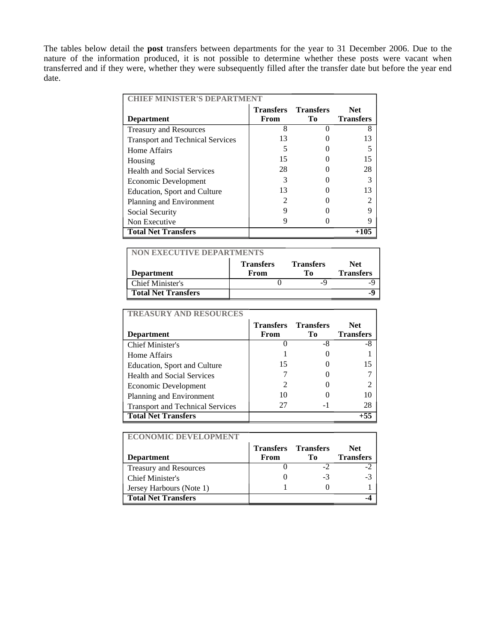The tables below detail the **post** transfers between departments for the year to 31 December 2006. Due to the nature of the information produced, it is not possible to determine whether these posts were vacant when transferred and if they were, whether they were subsequently filled after the transfer date but before the year end date.

| <b>CHIEF MINISTER'S DEPARTMENT</b>      |                  |                  |                  |  |
|-----------------------------------------|------------------|------------------|------------------|--|
|                                         | <b>Transfers</b> | <b>Transfers</b> | Net.             |  |
| <b>Department</b>                       | From             | Tо               | <b>Transfers</b> |  |
| <b>Treasury and Resources</b>           | 8                |                  | 8                |  |
| <b>Transport and Technical Services</b> | 13               |                  | 13               |  |
| Home Affairs                            |                  |                  |                  |  |
| Housing                                 | 15               |                  | 15               |  |
| <b>Health and Social Services</b>       | 28               |                  | 28               |  |
| Economic Development                    | 3                |                  | 3                |  |
| Education, Sport and Culture            | 13               |                  | 13               |  |
| Planning and Environment                |                  |                  |                  |  |
| Social Security                         | q                |                  | q                |  |
| Non Executive                           |                  |                  | 9                |  |
| <b>Total Net Transfers</b>              |                  |                  | +105             |  |

| <b>NON EXECUTIVE DEPARTMENTS</b> |                  |                  |                  |
|----------------------------------|------------------|------------------|------------------|
|                                  | <b>Transfers</b> | <b>Transfers</b> | Net.             |
| <b>Department</b>                | From             | Tо               | <b>Transfers</b> |
| Chief Minister's                 |                  | -9               |                  |
| <b>Total Net Transfers</b>       |                  |                  | -9               |

| <b>TREASURY AND RESOURCES</b>           |                  |                  |                  |
|-----------------------------------------|------------------|------------------|------------------|
|                                         | <b>Transfers</b> | <b>Transfers</b> | Net.             |
| <b>Department</b>                       | From             | Tо               | <b>Transfers</b> |
| <b>Chief Minister's</b>                 |                  | -8               | -8               |
| Home Affairs                            |                  |                  |                  |
| Education, Sport and Culture            | 15               |                  | 15               |
| <b>Health and Social Services</b>       |                  |                  |                  |
| Economic Development                    |                  |                  |                  |
| Planning and Environment                | 10               |                  | 10               |
| <b>Transport and Technical Services</b> | 27               |                  | 28               |
| <b>Total Net Transfers</b>              |                  |                  | $+55$            |

| <b>ECONOMIC DEVELOPMENT</b>   |                  |                  |                  |
|-------------------------------|------------------|------------------|------------------|
|                               | <b>Transfers</b> | <b>Transfers</b> | Net.             |
| <b>Department</b>             | From             | Tо               | <b>Transfers</b> |
| <b>Treasury and Resources</b> |                  |                  |                  |
| Chief Minister's              |                  | -3               | $-3$             |
| Jersey Harbours (Note 1)      |                  |                  |                  |
| <b>Total Net Transfers</b>    |                  |                  |                  |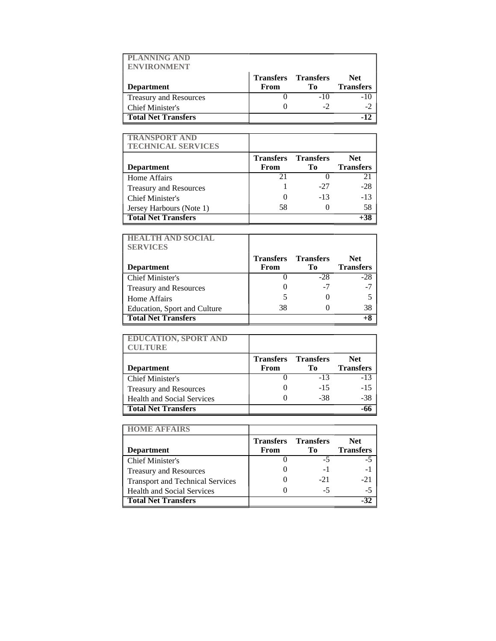| <b>PLANNING AND</b><br><b>ENVIRONMENT</b> |                                    |       |                                |
|-------------------------------------------|------------------------------------|-------|--------------------------------|
| <b>Department</b>                         | <b>Transfers Transfers</b><br>From | Tо    | <b>Net</b><br><b>Transfers</b> |
| Treasury and Resources                    |                                    | $-10$ | $-10$                          |
| <b>Chief Minister's</b>                   |                                    |       |                                |
| <b>Total Net Transfers</b>                |                                    |       |                                |

| <b>TRANSPORT AND</b><br><b>TECHNICAL SERVICES</b> |      |                                  |                                |
|---------------------------------------------------|------|----------------------------------|--------------------------------|
| <b>Department</b>                                 | From | <b>Transfers Transfers</b><br>To | <b>Net</b><br><b>Transfers</b> |
| Home Affairs                                      | 21   |                                  | 21                             |
| <b>Treasury and Resources</b>                     |      | -27                              | $-28$                          |
| Chief Minister's                                  |      | $-13$                            | $-13$                          |
| Jersey Harbours (Note 1)                          | 58   |                                  | 58                             |
| <b>Total Net Transfers</b>                        |      |                                  | $+38$                          |

| <b>HEALTH AND SOCIAL</b><br><b>SERVICES</b> |                            |       |                  |
|---------------------------------------------|----------------------------|-------|------------------|
|                                             | <b>Transfers Transfers</b> |       | <b>Net</b>       |
| <b>Department</b>                           | From                       | To    | <b>Transfers</b> |
| <b>Chief Minister's</b>                     |                            | $-28$ | $-28$            |
| <b>Treasury and Resources</b>               |                            | -7    | $-7$             |
| Home Affairs                                |                            |       |                  |
| Education, Sport and Culture                | 38                         |       | 38               |
| <b>Total Net Transfers</b>                  |                            |       |                  |

| <b>EDUCATION, SPORT AND</b><br><b>CULTURE</b> |                          |                        |                                |
|-----------------------------------------------|--------------------------|------------------------|--------------------------------|
| <b>Department</b>                             | <b>Transfers</b><br>From | <b>Transfers</b><br>To | <b>Net</b><br><b>Transfers</b> |
| Chief Minister's                              |                          | $-13$                  | $-13$                          |
| Treasury and Resources                        |                          | $-1.5$                 | $-15$                          |
| <b>Health and Social Services</b>             |                          | -38                    | $-38$                          |
| <b>Total Net Transfers</b>                    |                          |                        |                                |

| <b>HOME AFFAIRS</b>                     |                          |                          |                          |
|-----------------------------------------|--------------------------|--------------------------|--------------------------|
| <b>Department</b>                       | <b>Transfers</b><br>From | <b>Transfers</b><br>To   | Net.<br><b>Transfers</b> |
|                                         |                          |                          |                          |
| <b>Chief Minister's</b>                 |                          | -5                       | -5                       |
| <b>Treasury and Resources</b>           |                          | $\overline{\phantom{0}}$ |                          |
| <b>Transport and Technical Services</b> |                          | $-21$                    | $-21$                    |
| <b>Health and Social Services</b>       |                          | -5                       | -5                       |
| <b>Total Net Transfers</b>              |                          |                          |                          |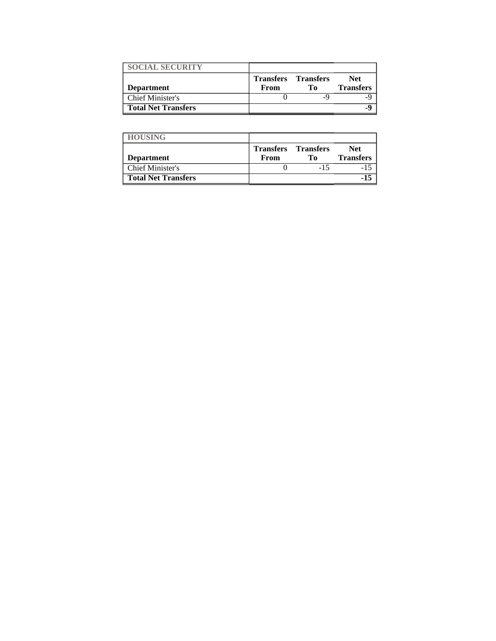| <b>SOCIAL SECURITY</b>     |                                    |    |                          |
|----------------------------|------------------------------------|----|--------------------------|
| <b>Department</b>          | <b>Transfers</b> Transfers<br>From | Тο | Net.<br><b>Transfers</b> |
| Chief Minister's           |                                    |    |                          |
| <b>Total Net Transfers</b> |                                    |    |                          |

| <b>HOUSING</b>             |                          |                        |                          |
|----------------------------|--------------------------|------------------------|--------------------------|
| <b>Department</b>          | <b>Transfers</b><br>From | <b>Transfers</b><br>Tо | Net.<br><b>Transfers</b> |
| Chief Minister's           |                          |                        |                          |
| <b>Total Net Transfers</b> |                          |                        | $-15$                    |